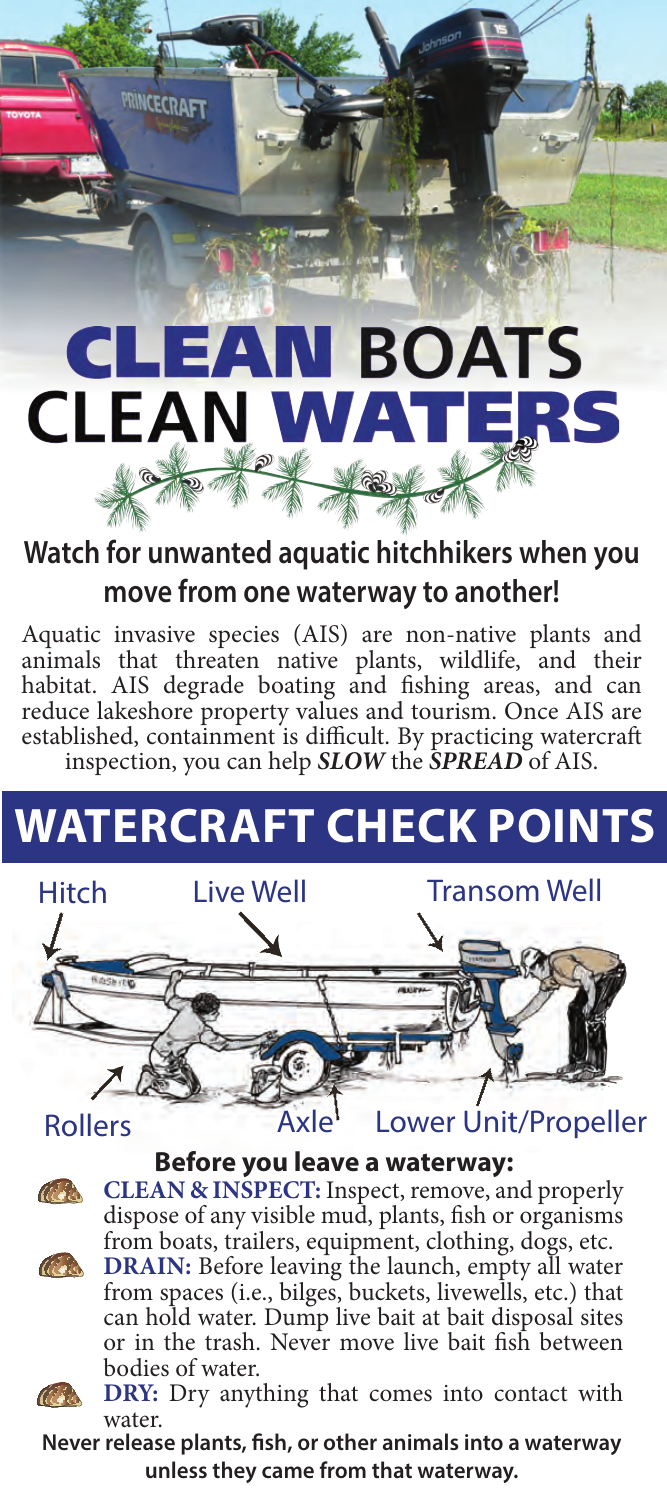

# **CLEAN BOATS CLEAN WAT** TERS

### **Watch for unwanted aquatic hitchhikers when you move from one waterway to another!**

Aquatic invasive species (AIS) are non-native plants and animals that threaten native plants, wildlife, and their habitat. AIS degrade boating and fishing areas, and can reduce lakeshore property values and tourism. Once AIS are established, containment is difficult. By practicing watercraft inspection, you can help *SLOW* the *SPREAD* of AIS.

## **Watercraft check Points**



#### **Before you leave a waterway:**





**CLEAN & INSPECT:** Inspect, remove, and properly dispose of any visible mud, plants, fish or organisms from boats, trailers, equipment, clothing, dogs, etc.

**DRAIN:** Before leaving the launch, empty all water from spaces (i.e., bilges, buckets, livewells, etc.) that can hold water. Dump live bait at bait disposal sites or in the trash. Never move live bait fish between bodies of water.



**DRY:** Dry anything that comes into contact with water.

**Never release plants, fish, or other animals into a waterway unless they came from that waterway.**